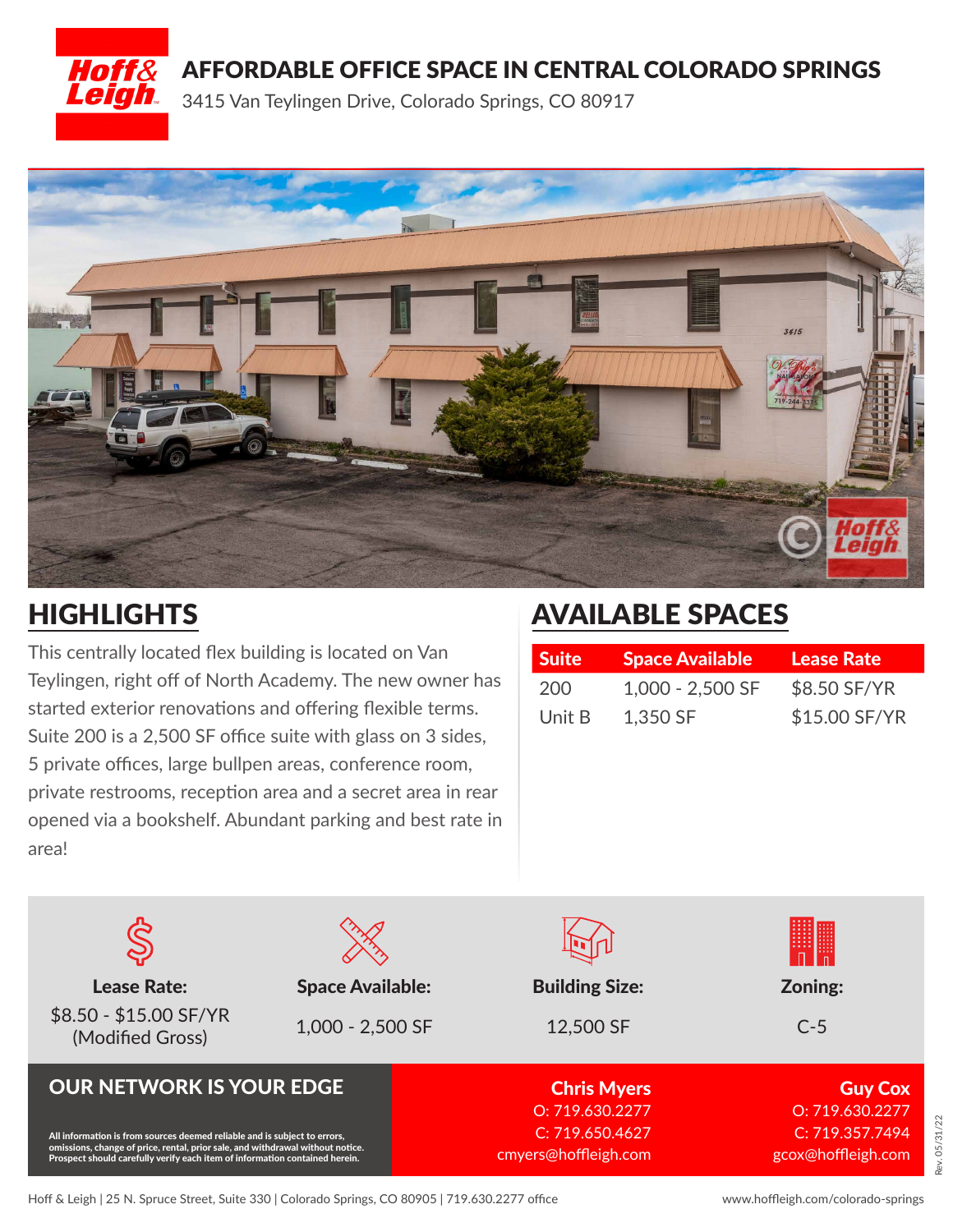

### AFFORDABLE OFFICE SPACE IN CENTRAL COLORADO SPRINGS

3415 Van Teylingen Drive, Colorado Springs, CO 80917



# **HIGHLIGHTS**

This centrally located flex building is located on Van Teylingen, right off of North Academy. The new owner has started exterior renovations and offering flexible terms. Suite 200 is a 2,500 SF office suite with glass on 3 sides, 5 private offices, large bullpen areas, conference room, private restrooms, reception area and a secret area in rear opened via a bookshelf. Abundant parking and best rate in area!

# AVAILABLE SPACES

| <b>Suite</b> | <b>Space Available</b> | <b>Lease Rate</b> |
|--------------|------------------------|-------------------|
| 200          | 1,000 - 2,500 SF       | \$8.50 SF/YR      |
| Unit B       | 1,350 SF               | \$15.00 SF/YR     |

| <b>Lease Rate:</b><br>\$8.50 - \$15.00 SF/YR<br>(Modified Gross)                                                                                                                                                                           | <b>Space Available:</b><br>1,000 - 2,500 SF | <b>Building Size:</b><br>12,500 SF      | Zoning:<br>$C-5$                      |
|--------------------------------------------------------------------------------------------------------------------------------------------------------------------------------------------------------------------------------------------|---------------------------------------------|-----------------------------------------|---------------------------------------|
| <b>OUR NETWORK IS YOUR EDGE</b>                                                                                                                                                                                                            |                                             | <b>Chris Myers</b><br>O: 719.630.2277   | <b>Guy Cox</b><br>O: 719.630.2277     |
| All information is from sources deemed reliable and is subject to errors,<br>omissions, change of price, rental, prior sale, and withdrawal without notice.<br>Prospect should carefully verify each item of information contained herein. |                                             | C: 719.650.4627<br>cmyers@hoffleigh.com | C: 719.357.7494<br>gcox@hoffleigh.com |

Rev. 05/31/22

lev. 05/31/22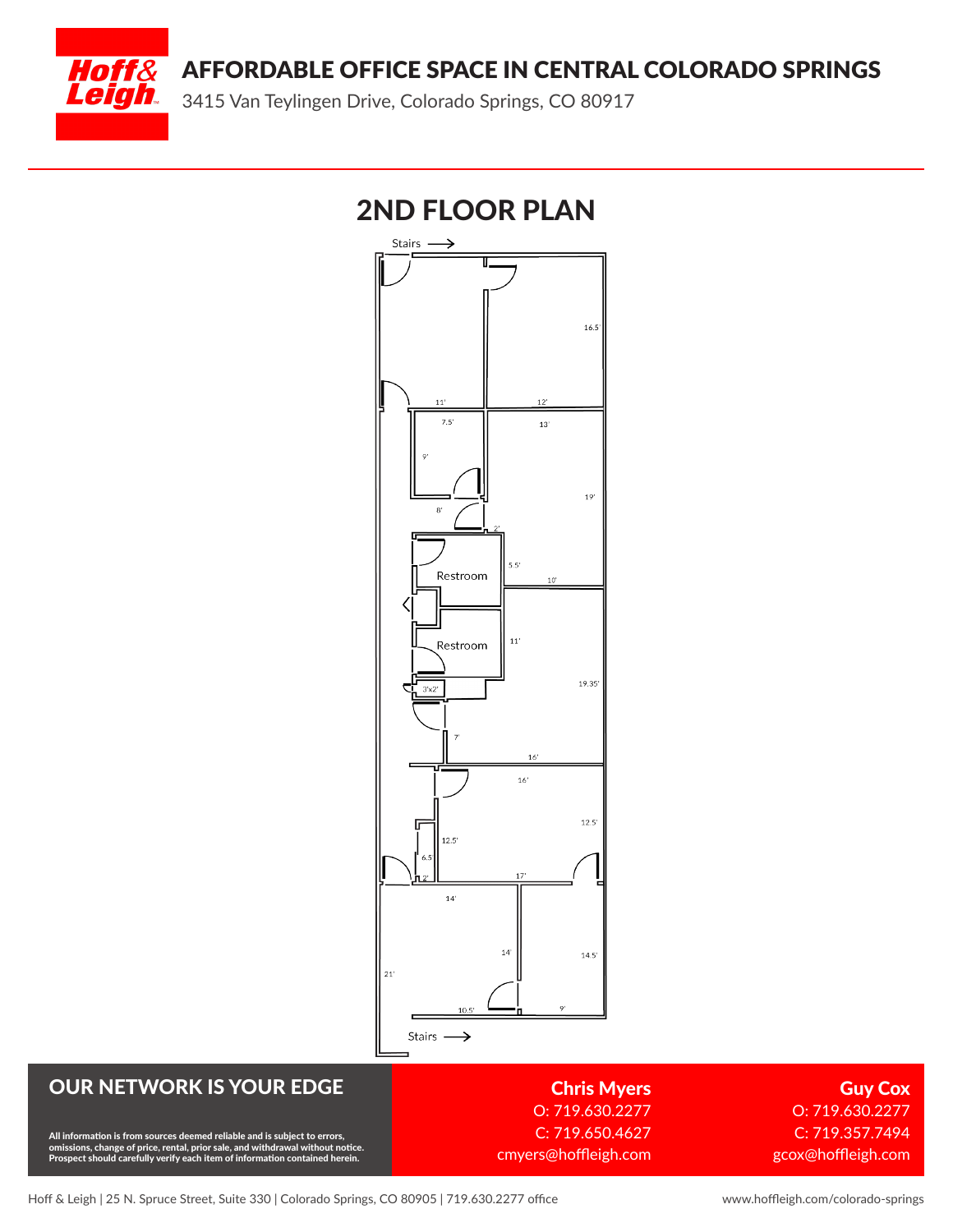AFFORDABLE OFFICE SPACE IN CENTRAL COLORADO SPRINGS



3415 Van Teylingen Drive, Colorado Springs, CO 80917

# 2ND FLOOR PLAN**Stairs** 16.5  $\overline{a}$  $7.5'$  $13'$  $19'$  $55$ Restroom  $10'$  $11'$ Restroom  $19.35'$  $3'x2'$ 16  $16'$  $12.5'$ G  $12.5$  $14'$

### $14$  $14.5'$  $\overline{21}$ Stairs - $\rightarrow$

#### OUR NETWORK IS YOUR EDGE

All information is from sources deemed reliable and is subject to errors,<br>omissions, change of price, rental, prior sale, and withdrawal without notice.<br>Prospect should carefully verify each item of information contained h

Chris Myers O: 719.630.2277 C: 719.650.4627 cmyers@hoffleigh.com

Guy Cox O: 719.630.2277 C: 719.357.7494 gcox@hoffleigh.com